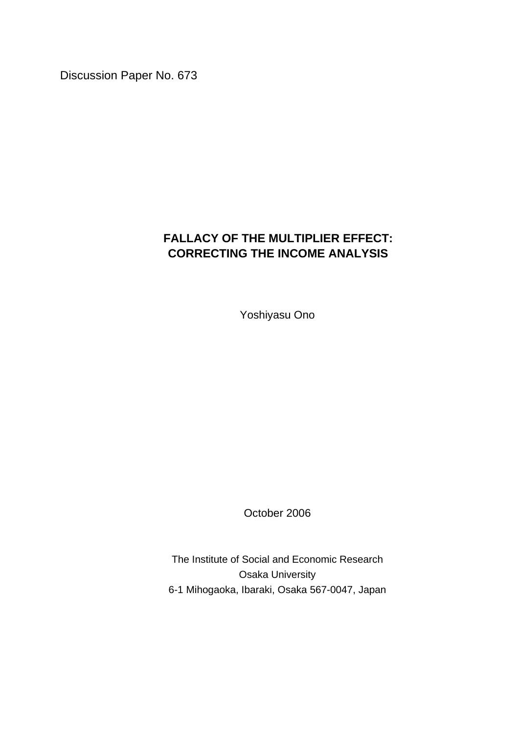Discussion Paper No. 673

## **FALLACY OF THE MULTIPLIER EFFECT: CORRECTING THE INCOME ANALYSIS**

Yoshiyasu Ono

October 2006

The Institute of Social and Economic Research Osaka University 6-1 Mihogaoka, Ibaraki, Osaka 567-0047, Japan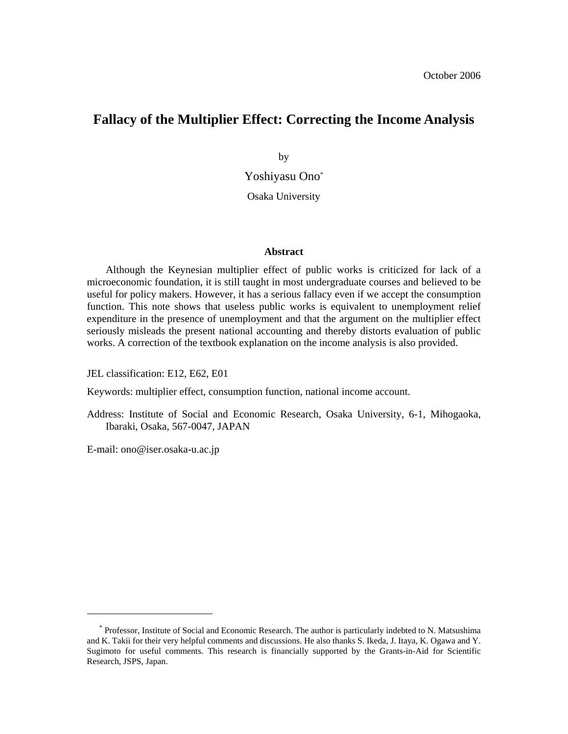### **Fallacy of the Multiplier Effect: Correcting the Income Analysis**

by Yoshiyasu Ono\*

Osaka University

#### **Abstract**

Although the Keynesian multiplier effect of public works is criticized for lack of a microeconomic foundation, it is still taught in most undergraduate courses and believed to be useful for policy makers. However, it has a serious fallacy even if we accept the consumption function. This note shows that useless public works is equivalent to unemployment relief expenditure in the presence of unemployment and that the argument on the multiplier effect seriously misleads the present national accounting and thereby distorts evaluation of public works. A correction of the textbook explanation on the income analysis is also provided.

JEL classification: E12, E62, E01

Keywords: multiplier effect, consumption function, national income account.

Address: Institute of Social and Economic Research, Osaka University, 6-1, Mihogaoka, Ibaraki, Osaka, 567-0047, JAPAN

E-mail: ono@iser.osaka-u.ac.jp

-

<sup>\*</sup> Professor, Institute of Social and Economic Research. The author is particularly indebted to N. Matsushima and K. Takii for their very helpful comments and discussions. He also thanks S. Ikeda, J. Itaya, K. Ogawa and Y. Sugimoto for useful comments. This research is financially supported by the Grants-in-Aid for Scientific Research, JSPS, Japan.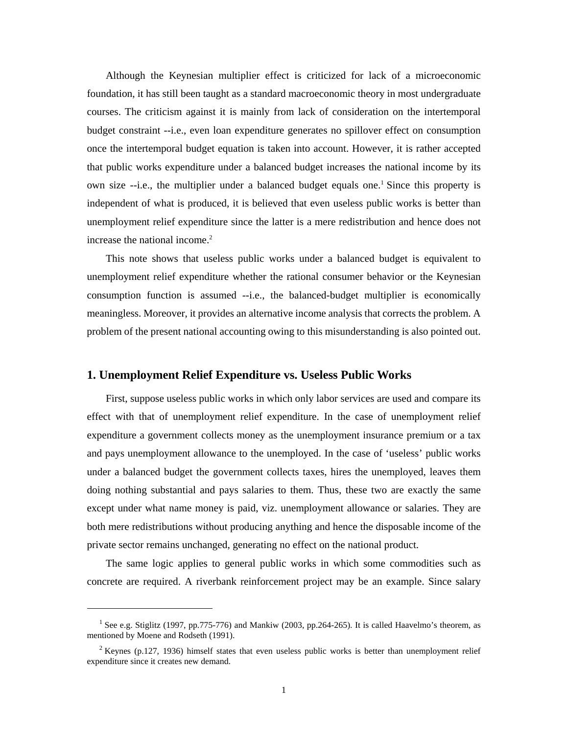Although the Keynesian multiplier effect is criticized for lack of a microeconomic foundation, it has still been taught as a standard macroeconomic theory in most undergraduate courses. The criticism against it is mainly from lack of consideration on the intertemporal budget constraint --i.e., even loan expenditure generates no spillover effect on consumption once the intertemporal budget equation is taken into account. However, it is rather accepted that public works expenditure under a balanced budget increases the national income by its own size --i.e., the multiplier under a balanced budget equals one.<sup>1</sup> Since this property is independent of what is produced, it is believed that even useless public works is better than unemployment relief expenditure since the latter is a mere redistribution and hence does not increase the national income.<sup>2</sup>

 This note shows that useless public works under a balanced budget is equivalent to unemployment relief expenditure whether the rational consumer behavior or the Keynesian consumption function is assumed --i.e., the balanced-budget multiplier is economically meaningless. Moreover, it provides an alternative income analysis that corrects the problem. A problem of the present national accounting owing to this misunderstanding is also pointed out.

#### **1. Unemployment Relief Expenditure vs. Useless Public Works**

 First, suppose useless public works in which only labor services are used and compare its effect with that of unemployment relief expenditure. In the case of unemployment relief expenditure a government collects money as the unemployment insurance premium or a tax and pays unemployment allowance to the unemployed. In the case of 'useless' public works under a balanced budget the government collects taxes, hires the unemployed, leaves them doing nothing substantial and pays salaries to them. Thus, these two are exactly the same except under what name money is paid, viz. unemployment allowance or salaries. They are both mere redistributions without producing anything and hence the disposable income of the private sector remains unchanged, generating no effect on the national product.

 The same logic applies to general public works in which some commodities such as concrete are required. A riverbank reinforcement project may be an example. Since salary

-

<sup>&</sup>lt;sup>1</sup> See e.g. Stiglitz (1997, pp.775-776) and Mankiw (2003, pp.264-265). It is called Haavelmo's theorem, as mentioned by Moene and Rodseth (1991).

<sup>&</sup>lt;sup>2</sup> Keynes (p.127, 1936) himself states that even useless public works is better than unemployment relief expenditure since it creates new demand.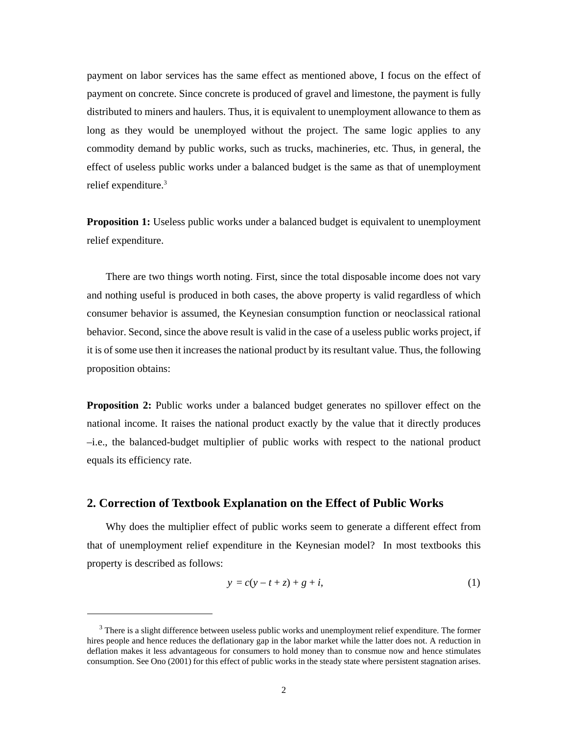payment on labor services has the same effect as mentioned above, I focus on the effect of payment on concrete. Since concrete is produced of gravel and limestone, the payment is fully distributed to miners and haulers. Thus, it is equivalent to unemployment allowance to them as long as they would be unemployed without the project. The same logic applies to any commodity demand by public works, such as trucks, machineries, etc. Thus, in general, the effect of useless public works under a balanced budget is the same as that of unemployment relief expenditure.<sup>3</sup>

**Proposition 1:** Useless public works under a balanced budget is equivalent to unemployment relief expenditure.

 There are two things worth noting. First, since the total disposable income does not vary and nothing useful is produced in both cases, the above property is valid regardless of which consumer behavior is assumed, the Keynesian consumption function or neoclassical rational behavior. Second, since the above result is valid in the case of a useless public works project, if it is of some use then it increases the national product by its resultant value. Thus, the following proposition obtains:

**Proposition 2:** Public works under a balanced budget generates no spillover effect on the national income. It raises the national product exactly by the value that it directly produces –i.e., the balanced-budget multiplier of public works with respect to the national product equals its efficiency rate.

#### **2. Correction of Textbook Explanation on the Effect of Public Works**

-

 Why does the multiplier effect of public works seem to generate a different effect from that of unemployment relief expenditure in the Keynesian model? In most textbooks this property is described as follows:

$$
y = c(y - t + z) + g + i,
$$
 (1)

 $3$  There is a slight difference between useless public works and unemployment relief expenditure. The former hires people and hence reduces the deflationary gap in the labor market while the latter does not. A reduction in deflation makes it less advantageous for consumers to hold money than to consmue now and hence stimulates consumption. See Ono (2001) for this effect of public works in the steady state where persistent stagnation arises.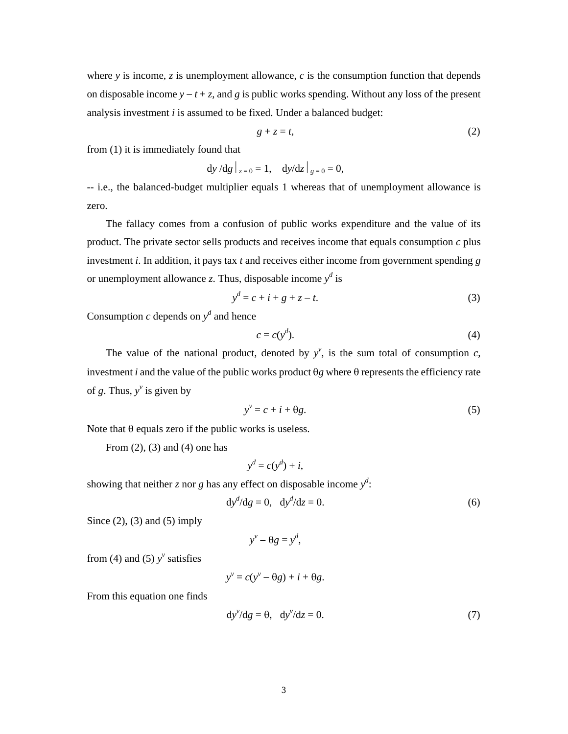where  $y$  is income,  $z$  is unemployment allowance,  $c$  is the consumption function that depends on disposable income *y* − *t* + *z*, and *g* is public works spending. Without any loss of the present analysis investment *i* is assumed to be fixed. Under a balanced budget:

$$
g + z = t,\tag{2}
$$

from (1) it is immediately found that

$$
dy/dg|_{z=0} = 1
$$
,  $dy/dz|_{g=0} = 0$ ,

-- i.e., the balanced-budget multiplier equals 1 whereas that of unemployment allowance is zero.

 The fallacy comes from a confusion of public works expenditure and the value of its product. The private sector sells products and receives income that equals consumption *c* plus investment *i*. In addition, it pays tax *t* and receives either income from government spending *g* or unemployment allowance *z*. Thus, disposable income  $y^d$  is

$$
y^d = c + i + g + z - t.
$$
 (3)

Consumption  $c$  depends on  $y<sup>d</sup>$  and hence

$$
c = c(y^d). \tag{4}
$$

The value of the national product, denoted by  $y^{\nu}$ , is the sum total of consumption *c*, investment *i* and the value of the public works product θ*g* where θ represents the efficiency rate of *g*. Thus,  $y^v$  is given by

$$
y^{\nu} = c + i + \theta g. \tag{5}
$$

Note that  $θ$  equals zero if the public works is useless.

From  $(2)$ ,  $(3)$  and  $(4)$  one has

$$
y^d = c(y^d) + i,
$$

showing that neither *z* nor *g* has any effect on disposable income  $y^d$ :

$$
dyd/dg = 0, dyd/dz = 0.
$$
 (6)

Since  $(2)$ ,  $(3)$  and  $(5)$  imply

$$
y^{\nu}-\theta g=y^d,
$$

from (4) and (5)  $y^{\nu}$  satisfies

$$
y^{\nu} = c(y^{\nu} - \theta g) + i + \theta g.
$$

From this equation one finds

$$
dy^{\nu}/dg = \theta, \quad dy^{\nu}/dz = 0.
$$
 (7)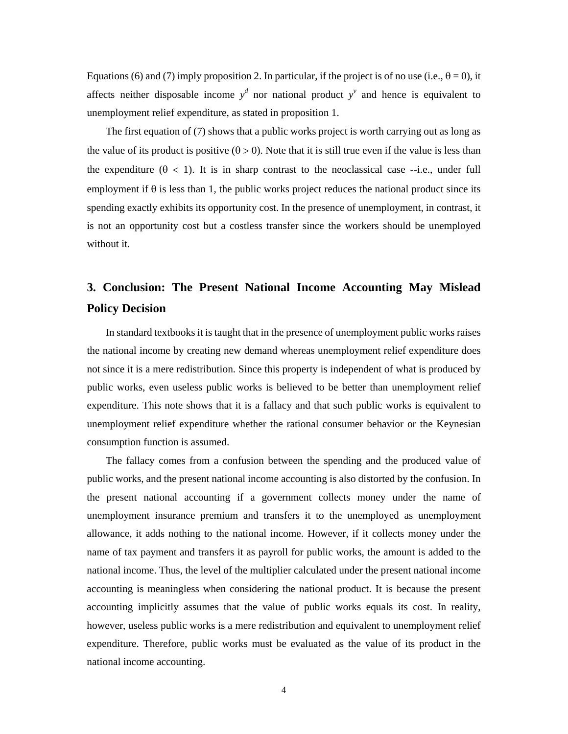Equations (6) and (7) imply proposition 2. In particular, if the project is of no use (i.e.,  $\theta = 0$ ), it affects neither disposable income  $y^d$  nor national product  $y^v$  and hence is equivalent to unemployment relief expenditure, as stated in proposition 1.

 The first equation of (7) shows that a public works project is worth carrying out as long as the value of its product is positive  $(\theta > 0)$ . Note that it is still true even if the value is less than the expenditure  $(\theta < 1)$ . It is in sharp contrast to the neoclassical case --i.e., under full employment if  $\theta$  is less than 1, the public works project reduces the national product since its spending exactly exhibits its opportunity cost. In the presence of unemployment, in contrast, it is not an opportunity cost but a costless transfer since the workers should be unemployed without it.

# **3. Conclusion: The Present National Income Accounting May Mislead Policy Decision**

 In standard textbooks it is taught that in the presence of unemployment public works raises the national income by creating new demand whereas unemployment relief expenditure does not since it is a mere redistribution. Since this property is independent of what is produced by public works, even useless public works is believed to be better than unemployment relief expenditure. This note shows that it is a fallacy and that such public works is equivalent to unemployment relief expenditure whether the rational consumer behavior or the Keynesian consumption function is assumed.

 The fallacy comes from a confusion between the spending and the produced value of public works, and the present national income accounting is also distorted by the confusion. In the present national accounting if a government collects money under the name of unemployment insurance premium and transfers it to the unemployed as unemployment allowance, it adds nothing to the national income. However, if it collects money under the name of tax payment and transfers it as payroll for public works, the amount is added to the national income. Thus, the level of the multiplier calculated under the present national income accounting is meaningless when considering the national product. It is because the present accounting implicitly assumes that the value of public works equals its cost. In reality, however, useless public works is a mere redistribution and equivalent to unemployment relief expenditure. Therefore, public works must be evaluated as the value of its product in the national income accounting.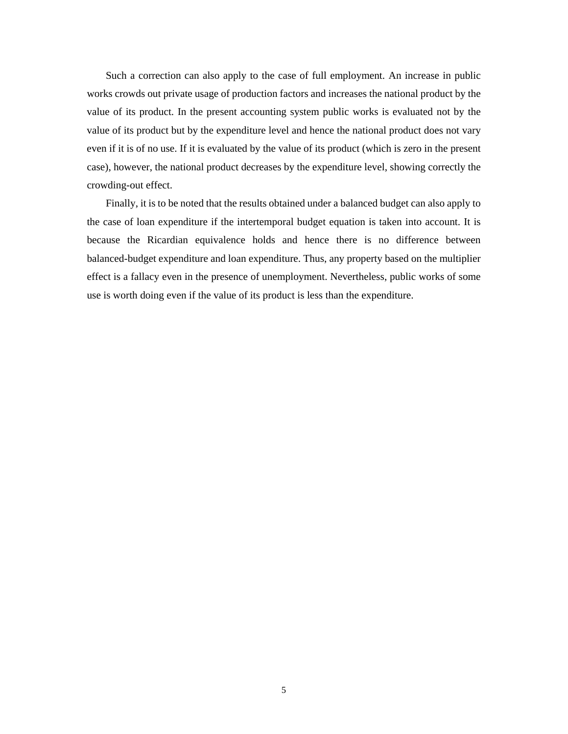Such a correction can also apply to the case of full employment. An increase in public works crowds out private usage of production factors and increases the national product by the value of its product. In the present accounting system public works is evaluated not by the value of its product but by the expenditure level and hence the national product does not vary even if it is of no use. If it is evaluated by the value of its product (which is zero in the present case), however, the national product decreases by the expenditure level, showing correctly the crowding-out effect.

 Finally, it is to be noted that the results obtained under a balanced budget can also apply to the case of loan expenditure if the intertemporal budget equation is taken into account. It is because the Ricardian equivalence holds and hence there is no difference between balanced-budget expenditure and loan expenditure. Thus, any property based on the multiplier effect is a fallacy even in the presence of unemployment. Nevertheless, public works of some use is worth doing even if the value of its product is less than the expenditure.